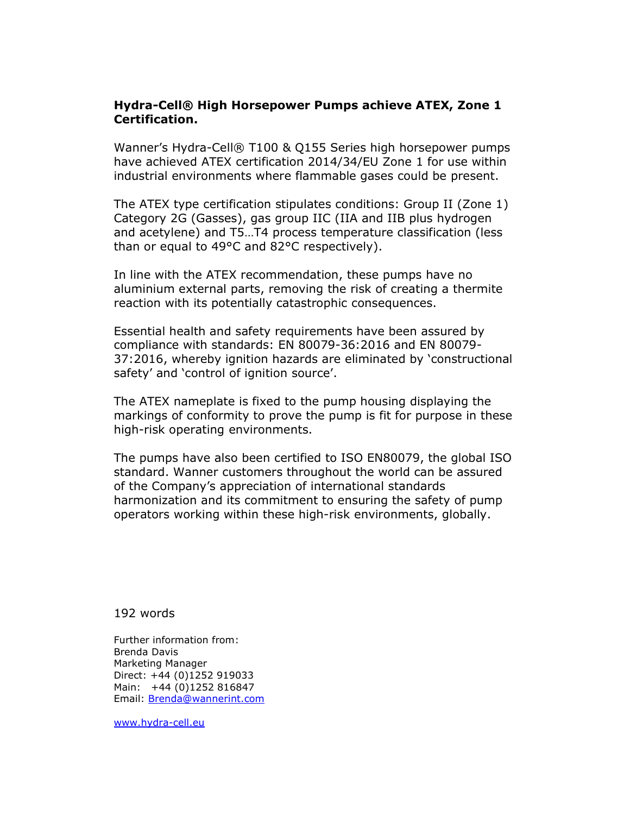## Hydra-Cell® High Horsepower Pumps achieve ATEX, Zone 1 Certification.

Wanner's Hydra-Cell® T100 & Q155 Series high horsepower pumps have achieved ATEX certification 2014/34/EU Zone 1 for use within industrial environments where flammable gases could be present.

The ATEX type certification stipulates conditions: Group II (Zone 1) Category 2G (Gasses), gas group IIC (IIA and IIB plus hydrogen and acetylene) and T5…T4 process temperature classification (less than or equal to 49°C and 82°C respectively).

In line with the ATEX recommendation, these pumps have no aluminium external parts, removing the risk of creating a thermite reaction with its potentially catastrophic consequences.

Essential health and safety requirements have been assured by compliance with standards: EN 80079-36:2016 and EN 80079- 37:2016, whereby ignition hazards are eliminated by 'constructional safety' and 'control of ignition source'.

The ATEX nameplate is fixed to the pump housing displaying the markings of conformity to prove the pump is fit for purpose in these high-risk operating environments.

The pumps have also been certified to ISO EN80079, the global ISO standard. Wanner customers throughout the world can be assured of the Company's appreciation of international standards harmonization and its commitment to ensuring the safety of pump operators working within these high-risk environments, globally.

## 192 words

Further information from: Brenda Davis Marketing Manager Direct: +44 (0)1252 919033 Main: +44 (0)1252 816847 Email: Brenda@wannerint.com

www.hydra-cell.eu